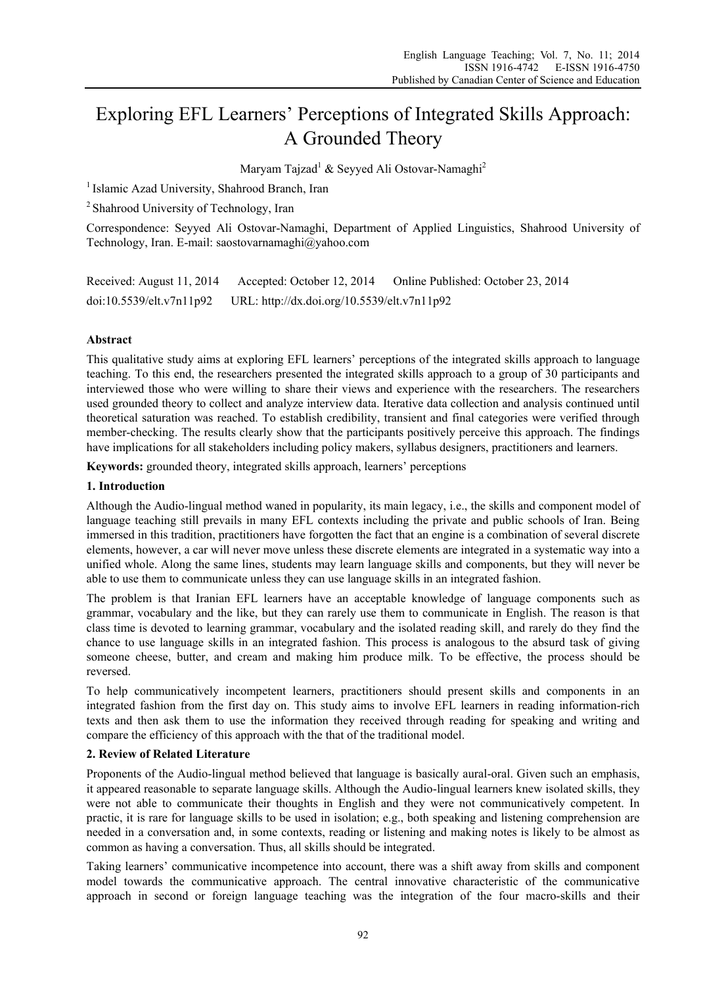# Exploring EFL Learners' Perceptions of Integrated Skills Approach: A Grounded Theory

Maryam Tajzad<sup>1</sup> & Seyyed Ali Ostovar-Namaghi<sup>2</sup>

<sup>1</sup> Islamic Azad University, Shahrood Branch, Iran

2 Shahrood University of Technology, Iran

Correspondence: Seyyed Ali Ostovar-Namaghi, Department of Applied Linguistics, Shahrood University of Technology, Iran. E-mail: saostovarnamaghi@yahoo.com

| Received: August 11, 2014 | Accepted: October 12, 2014                  | Online Published: October 23, 2014 |
|---------------------------|---------------------------------------------|------------------------------------|
| doi:10.5539/elt.v7n11p92  | URL: http://dx.doi.org/10.5539/elt.v7n11p92 |                                    |

# **Abstract**

This qualitative study aims at exploring EFL learners' perceptions of the integrated skills approach to language teaching. To this end, the researchers presented the integrated skills approach to a group of 30 participants and interviewed those who were willing to share their views and experience with the researchers. The researchers used grounded theory to collect and analyze interview data. Iterative data collection and analysis continued until theoretical saturation was reached. To establish credibility, transient and final categories were verified through member-checking. The results clearly show that the participants positively perceive this approach. The findings have implications for all stakeholders including policy makers, syllabus designers, practitioners and learners.

**Keywords:** grounded theory, integrated skills approach, learners' perceptions

# **1. Introduction**

Although the Audio-lingual method waned in popularity, its main legacy, i.e., the skills and component model of language teaching still prevails in many EFL contexts including the private and public schools of Iran. Being immersed in this tradition, practitioners have forgotten the fact that an engine is a combination of several discrete elements, however, a car will never move unless these discrete elements are integrated in a systematic way into a unified whole. Along the same lines, students may learn language skills and components, but they will never be able to use them to communicate unless they can use language skills in an integrated fashion.

The problem is that Iranian EFL learners have an acceptable knowledge of language components such as grammar, vocabulary and the like, but they can rarely use them to communicate in English. The reason is that class time is devoted to learning grammar, vocabulary and the isolated reading skill, and rarely do they find the chance to use language skills in an integrated fashion. This process is analogous to the absurd task of giving someone cheese, butter, and cream and making him produce milk. To be effective, the process should be reversed.

To help communicatively incompetent learners, practitioners should present skills and components in an integrated fashion from the first day on. This study aims to involve EFL learners in reading information-rich texts and then ask them to use the information they received through reading for speaking and writing and compare the efficiency of this approach with the that of the traditional model.

# **2. Review of Related Literature**

Proponents of the Audio-lingual method believed that language is basically aural-oral. Given such an emphasis, it appeared reasonable to separate language skills. Although the Audio-lingual learners knew isolated skills, they were not able to communicate their thoughts in English and they were not communicatively competent. In practic, it is rare for language skills to be used in isolation; e.g., both speaking and listening comprehension are needed in a conversation and, in some contexts, reading or listening and making notes is likely to be almost as common as having a conversation. Thus, all skills should be integrated.

Taking learners' communicative incompetence into account, there was a shift away from skills and component model towards the communicative approach. The central innovative characteristic of the communicative approach in second or foreign language teaching was the integration of the four macro-skills and their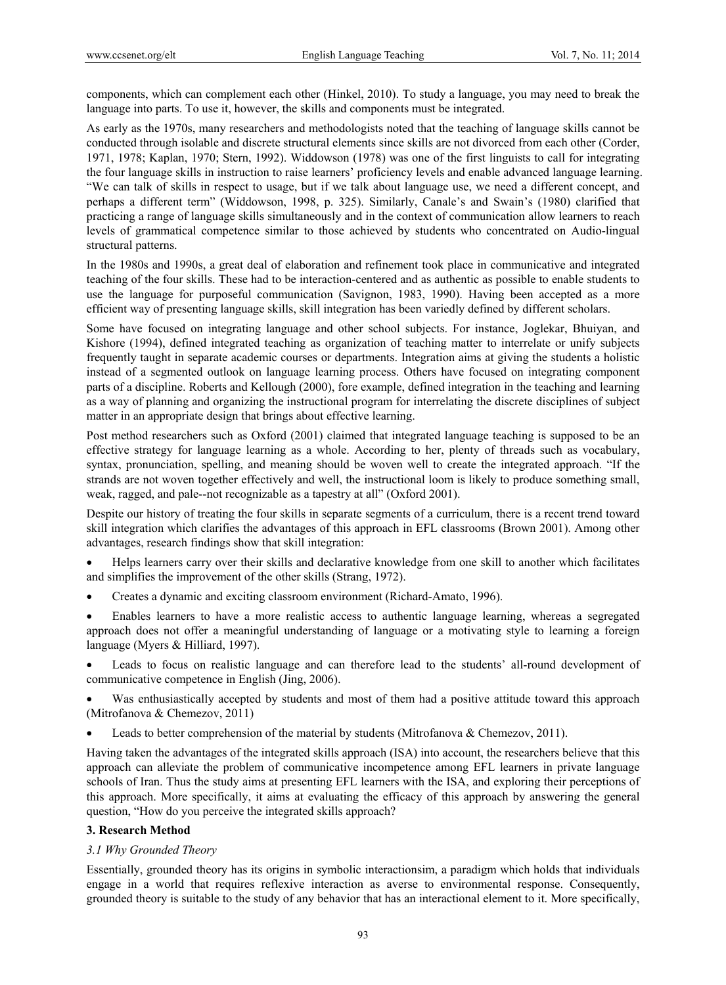components, which can complement each other (Hinkel, 2010). To study a language, you may need to break the language into parts. To use it, however, the skills and components must be integrated.

As early as the 1970s, many researchers and methodologists noted that the teaching of language skills cannot be conducted through isolable and discrete structural elements since skills are not divorced from each other (Corder, 1971, 1978; Kaplan, 1970; Stern, 1992). Widdowson (1978) was one of the first linguists to call for integrating the four language skills in instruction to raise learners' proficiency levels and enable advanced language learning. "We can talk of skills in respect to usage, but if we talk about language use, we need a different concept, and perhaps a different term" (Widdowson, 1998, p. 325). Similarly, Canale's and Swain's (1980) clarified that practicing a range of language skills simultaneously and in the context of communication allow learners to reach levels of grammatical competence similar to those achieved by students who concentrated on Audio-lingual structural patterns.

In the 1980s and 1990s, a great deal of elaboration and refinement took place in communicative and integrated teaching of the four skills. These had to be interaction-centered and as authentic as possible to enable students to use the language for purposeful communication (Savignon, 1983, 1990). Having been accepted as a more efficient way of presenting language skills, skill integration has been variedly defined by different scholars.

Some have focused on integrating language and other school subjects. For instance, Joglekar, Bhuiyan, and Kishore (1994), defined integrated teaching as organization of teaching matter to interrelate or unify subjects frequently taught in separate academic courses or departments. Integration aims at giving the students a holistic instead of a segmented outlook on language learning process. Others have focused on integrating component parts of a discipline. Roberts and Kellough (2000), fore example, defined integration in the teaching and learning as a way of planning and organizing the instructional program for interrelating the discrete disciplines of subject matter in an appropriate design that brings about effective learning.

Post method researchers such as Oxford (2001) claimed that integrated language teaching is supposed to be an effective strategy for language learning as a whole. According to her, plenty of threads such as vocabulary, syntax, pronunciation, spelling, and meaning should be woven well to create the integrated approach. "If the strands are not woven together effectively and well, the instructional loom is likely to produce something small, weak, ragged, and pale--not recognizable as a tapestry at all" (Oxford 2001).

Despite our history of treating the four skills in separate segments of a curriculum, there is a recent trend toward skill integration which clarifies the advantages of this approach in EFL classrooms (Brown 2001). Among other advantages, research findings show that skill integration:

- Helps learners carry over their skills and declarative knowledge from one skill to another which facilitates and simplifies the improvement of the other skills (Strang, 1972).
- Creates a dynamic and exciting classroom environment (Richard-Amato, 1996).
- Enables learners to have a more realistic access to authentic language learning, whereas a segregated approach does not offer a meaningful understanding of language or a motivating style to learning a foreign language (Myers & Hilliard, 1997).
- Leads to focus on realistic language and can therefore lead to the students' all-round development of communicative competence in English (Jing, 2006).
- Was enthusiastically accepted by students and most of them had a positive attitude toward this approach (Mitrofanova & Chemezov, 2011)
- Leads to better comprehension of the material by students (Mitrofanova & Chemezov, 2011).

Having taken the advantages of the integrated skills approach (ISA) into account, the researchers believe that this approach can alleviate the problem of communicative incompetence among EFL learners in private language schools of Iran. Thus the study aims at presenting EFL learners with the ISA, and exploring their perceptions of this approach. More specifically, it aims at evaluating the efficacy of this approach by answering the general question, "How do you perceive the integrated skills approach?

# **3. Research Method**

# *3.1 Why Grounded Theory*

Essentially, grounded theory has its origins in symbolic interactionsim, a paradigm which holds that individuals engage in a world that requires reflexive interaction as averse to environmental response. Consequently, grounded theory is suitable to the study of any behavior that has an interactional element to it. More specifically,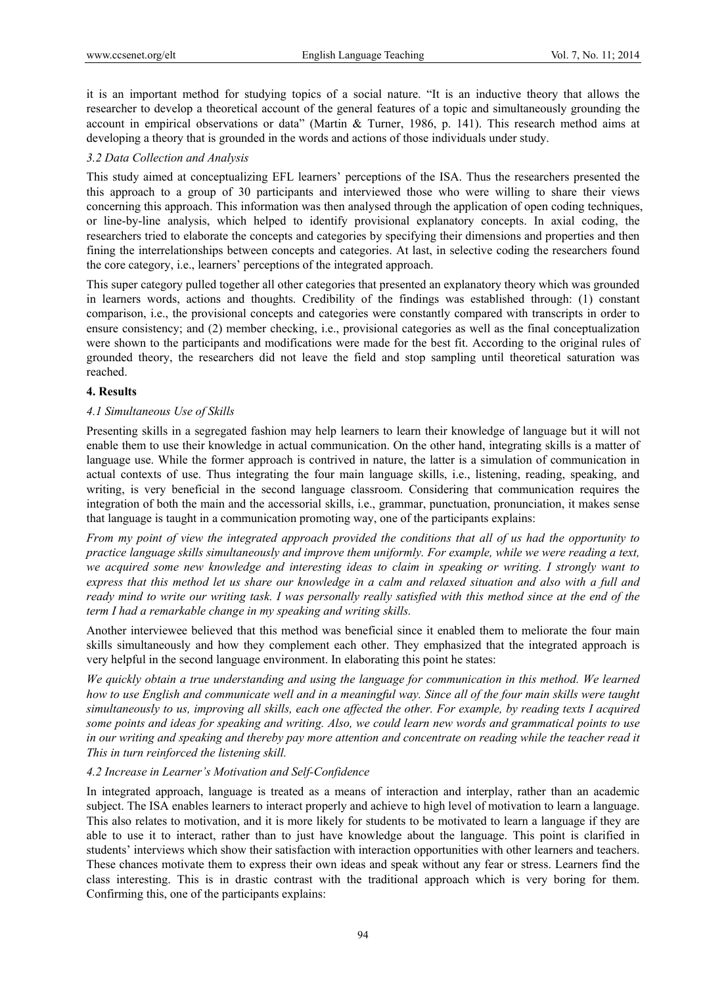it is an important method for studying topics of a social nature. "It is an inductive theory that allows the researcher to develop a theoretical account of the general features of a topic and simultaneously grounding the account in empirical observations or data" (Martin & Turner, 1986, p. 141). This research method aims at developing a theory that is grounded in the words and actions of those individuals under study.

## *3.2 Data Collection and Analysis*

This study aimed at conceptualizing EFL learners' perceptions of the ISA. Thus the researchers presented the this approach to a group of 30 participants and interviewed those who were willing to share their views concerning this approach. This information was then analysed through the application of open coding techniques, or line-by-line analysis, which helped to identify provisional explanatory concepts. In axial coding, the researchers tried to elaborate the concepts and categories by specifying their dimensions and properties and then fining the interrelationships between concepts and categories. At last, in selective coding the researchers found the core category, i.e., learners' perceptions of the integrated approach.

This super category pulled together all other categories that presented an explanatory theory which was grounded in learners words, actions and thoughts. Credibility of the findings was established through: (1) constant comparison, i.e., the provisional concepts and categories were constantly compared with transcripts in order to ensure consistency; and (2) member checking, i.e., provisional categories as well as the final conceptualization were shown to the participants and modifications were made for the best fit. According to the original rules of grounded theory, the researchers did not leave the field and stop sampling until theoretical saturation was reached.

## **4. Results**

## *4.1 Simultaneous Use of Skills*

Presenting skills in a segregated fashion may help learners to learn their knowledge of language but it will not enable them to use their knowledge in actual communication. On the other hand, integrating skills is a matter of language use. While the former approach is contrived in nature, the latter is a simulation of communication in actual contexts of use. Thus integrating the four main language skills, i.e., listening, reading, speaking, and writing, is very beneficial in the second language classroom. Considering that communication requires the integration of both the main and the accessorial skills, i.e., grammar, punctuation, pronunciation, it makes sense that language is taught in a communication promoting way, one of the participants explains:

*From my point of view the integrated approach provided the conditions that all of us had the opportunity to practice language skills simultaneously and improve them uniformly. For example, while we were reading a text, we acquired some new knowledge and interesting ideas to claim in speaking or writing. I strongly want to express that this method let us share our knowledge in a calm and relaxed situation and also with a full and ready mind to write our writing task. I was personally really satisfied with this method since at the end of the term I had a remarkable change in my speaking and writing skills.* 

Another interviewee believed that this method was beneficial since it enabled them to meliorate the four main skills simultaneously and how they complement each other. They emphasized that the integrated approach is very helpful in the second language environment. In elaborating this point he states:

*We quickly obtain a true understanding and using the language for communication in this method. We learned how to use English and communicate well and in a meaningful way. Since all of the four main skills were taught simultaneously to us, improving all skills, each one affected the other. For example, by reading texts I acquired some points and ideas for speaking and writing. Also, we could learn new words and grammatical points to use in our writing and speaking and thereby pay more attention and concentrate on reading while the teacher read it This in turn reinforced the listening skill.* 

#### *4.2 Increase in Learner's Motivation and Self-Confidence*

In integrated approach, language is treated as a means of interaction and interplay, rather than an academic subject. The ISA enables learners to interact properly and achieve to high level of motivation to learn a language. This also relates to motivation, and it is more likely for students to be motivated to learn a language if they are able to use it to interact, rather than to just have knowledge about the language. This point is clarified in students' interviews which show their satisfaction with interaction opportunities with other learners and teachers. These chances motivate them to express their own ideas and speak without any fear or stress. Learners find the class interesting. This is in drastic contrast with the traditional approach which is very boring for them. Confirming this, one of the participants explains: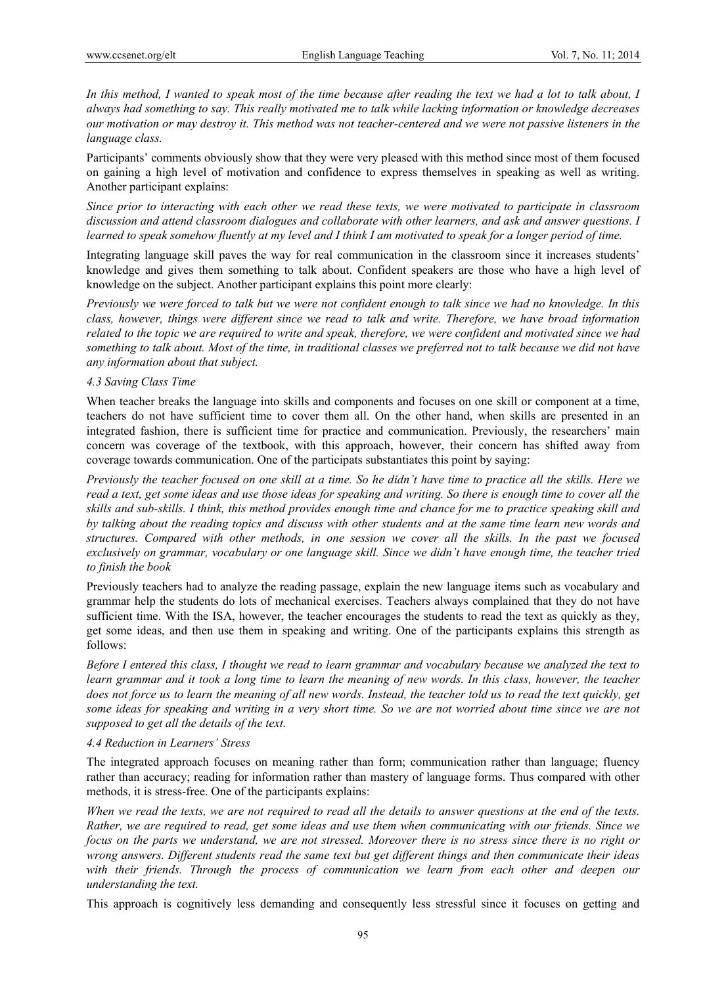*In this method, I wanted to speak most of the time because after reading the text we had a lot to talk about, I always had something to say. This really motivated me to talk while lacking information or knowledge decreases our motivation or may destroy it. This method was not teacher-centered and we were not passive listeners in the language class.* 

Participants' comments obviously show that they were very pleased with this method since most of them focused on gaining a high level of motivation and confidence to express themselves in speaking as well as writing. Another participant explains:

*Since prior to interacting with each other we read these texts, we were motivated to participate in classroom discussion and attend classroom dialogues and collaborate with other learners, and ask and answer questions. I learned to speak somehow fluently at my level and I think I am motivated to speak for a longer period of time.* 

Integrating language skill paves the way for real communication in the classroom since it increases students' knowledge and gives them something to talk about. Confident speakers are those who have a high level of knowledge on the subject. Another participant explains this point more clearly:

*Previously we were forced to talk but we were not confident enough to talk since we had no knowledge. In this class, however, things were different since we read to talk and write. Therefore, we have broad information related to the topic we are required to write and speak, therefore, we were confident and motivated since we had something to talk about. Most of the time, in traditional classes we preferred not to talk because we did not have any information about that subject.* 

## *4.3 Saving Class Time*

When teacher breaks the language into skills and components and focuses on one skill or component at a time, teachers do not have sufficient time to cover them all. On the other hand, when skills are presented in an integrated fashion, there is sufficient time for practice and communication. Previously, the researchers' main concern was coverage of the textbook, with this approach, however, their concern has shifted away from coverage towards communication. One of the participats substantiates this point by saying:

*Previously the teacher focused on one skill at a time. So he didn't have time to practice all the skills. Here we read a text, get some ideas and use those ideas for speaking and writing. So there is enough time to cover all the skills and sub-skills. I think, this method provides enough time and chance for me to practice speaking skill and by talking about the reading topics and discuss with other students and at the same time learn new words and structures. Compared with other methods, in one session we cover all the skills. In the past we focused exclusively on grammar, vocabulary or one language skill. Since we didn't have enough time, the teacher tried to finish the book* 

Previously teachers had to analyze the reading passage, explain the new language items such as vocabulary and grammar help the students do lots of mechanical exercises. Teachers always complained that they do not have sufficient time. With the ISA, however, the teacher encourages the students to read the text as quickly as they, get some ideas, and then use them in speaking and writing. One of the participants explains this strength as follows:

*Before I entered this class, I thought we read to learn grammar and vocabulary because we analyzed the text to learn grammar and it took a long time to learn the meaning of new words. In this class, however, the teacher does not force us to learn the meaning of all new words. Instead, the teacher told us to read the text quickly, get some ideas for speaking and writing in a very short time. So we are not worried about time since we are not supposed to get all the details of the text.* 

# *4.4 Reduction in Learners' Stress*

The integrated approach focuses on meaning rather than form; communication rather than language; fluency rather than accuracy; reading for information rather than mastery of language forms. Thus compared with other methods, it is stress-free. One of the participants explains:

*When we read the texts, we are not required to read all the details to answer questions at the end of the texts. Rather, we are required to read, get some ideas and use them when communicating with our friends. Since we focus on the parts we understand, we are not stressed. Moreover there is no stress since there is no right or wrong answers. Different students read the same text but get different things and then communicate their ideas with their friends. Through the process of communication we learn from each other and deepen our understanding the text.* 

This approach is cognitively less demanding and consequently less stressful since it focuses on getting and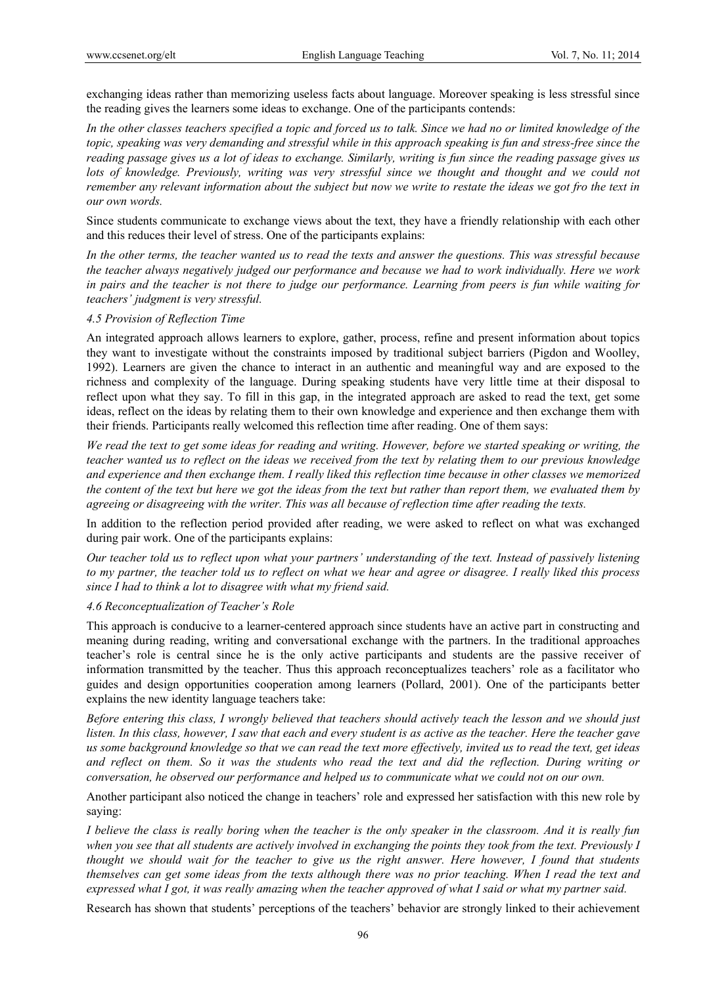exchanging ideas rather than memorizing useless facts about language. Moreover speaking is less stressful since the reading gives the learners some ideas to exchange. One of the participants contends:

*In the other classes teachers specified a topic and forced us to talk. Since we had no or limited knowledge of the topic, speaking was very demanding and stressful while in this approach speaking is fun and stress-free since the reading passage gives us a lot of ideas to exchange. Similarly, writing is fun since the reading passage gives us lots of knowledge. Previously, writing was very stressful since we thought and thought and we could not remember any relevant information about the subject but now we write to restate the ideas we got fro the text in our own words.* 

Since students communicate to exchange views about the text, they have a friendly relationship with each other and this reduces their level of stress. One of the participants explains:

*In the other terms, the teacher wanted us to read the texts and answer the questions. This was stressful because the teacher always negatively judged our performance and because we had to work individually. Here we work in pairs and the teacher is not there to judge our performance. Learning from peers is fun while waiting for teachers' judgment is very stressful.* 

#### *4.5 Provision of Reflection Time*

An integrated approach allows learners to explore, gather, process, refine and present information about topics they want to investigate without the constraints imposed by traditional subject barriers (Pigdon and Woolley, 1992). Learners are given the chance to interact in an authentic and meaningful way and are exposed to the richness and complexity of the language. During speaking students have very little time at their disposal to reflect upon what they say. To fill in this gap, in the integrated approach are asked to read the text, get some ideas, reflect on the ideas by relating them to their own knowledge and experience and then exchange them with their friends. Participants really welcomed this reflection time after reading. One of them says:

*We read the text to get some ideas for reading and writing. However, before we started speaking or writing, the teacher wanted us to reflect on the ideas we received from the text by relating them to our previous knowledge and experience and then exchange them. I really liked this reflection time because in other classes we memorized the content of the text but here we got the ideas from the text but rather than report them, we evaluated them by agreeing or disagreeing with the writer. This was all because of reflection time after reading the texts.* 

In addition to the reflection period provided after reading, we were asked to reflect on what was exchanged during pair work. One of the participants explains:

*Our teacher told us to reflect upon what your partners' understanding of the text. Instead of passively listening to my partner, the teacher told us to reflect on what we hear and agree or disagree. I really liked this process since I had to think a lot to disagree with what my friend said.* 

#### *4.6 Reconceptualization of Teacher's Role*

This approach is conducive to a learner-centered approach since students have an active part in constructing and meaning during reading, writing and conversational exchange with the partners. In the traditional approaches teacher's role is central since he is the only active participants and students are the passive receiver of information transmitted by the teacher. Thus this approach reconceptualizes teachers' role as a facilitator who guides and design opportunities cooperation among learners (Pollard, 2001). One of the participants better explains the new identity language teachers take:

*Before entering this class, I wrongly believed that teachers should actively teach the lesson and we should just listen. In this class, however, I saw that each and every student is as active as the teacher. Here the teacher gave us some background knowledge so that we can read the text more effectively, invited us to read the text, get ideas and reflect on them. So it was the students who read the text and did the reflection. During writing or conversation, he observed our performance and helped us to communicate what we could not on our own.* 

Another participant also noticed the change in teachers' role and expressed her satisfaction with this new role by saying:

*I believe the class is really boring when the teacher is the only speaker in the classroom. And it is really fun when you see that all students are actively involved in exchanging the points they took from the text. Previously I thought we should wait for the teacher to give us the right answer. Here however, I found that students themselves can get some ideas from the texts although there was no prior teaching. When I read the text and expressed what I got, it was really amazing when the teacher approved of what I said or what my partner said.* 

Research has shown that students' perceptions of the teachers' behavior are strongly linked to their achievement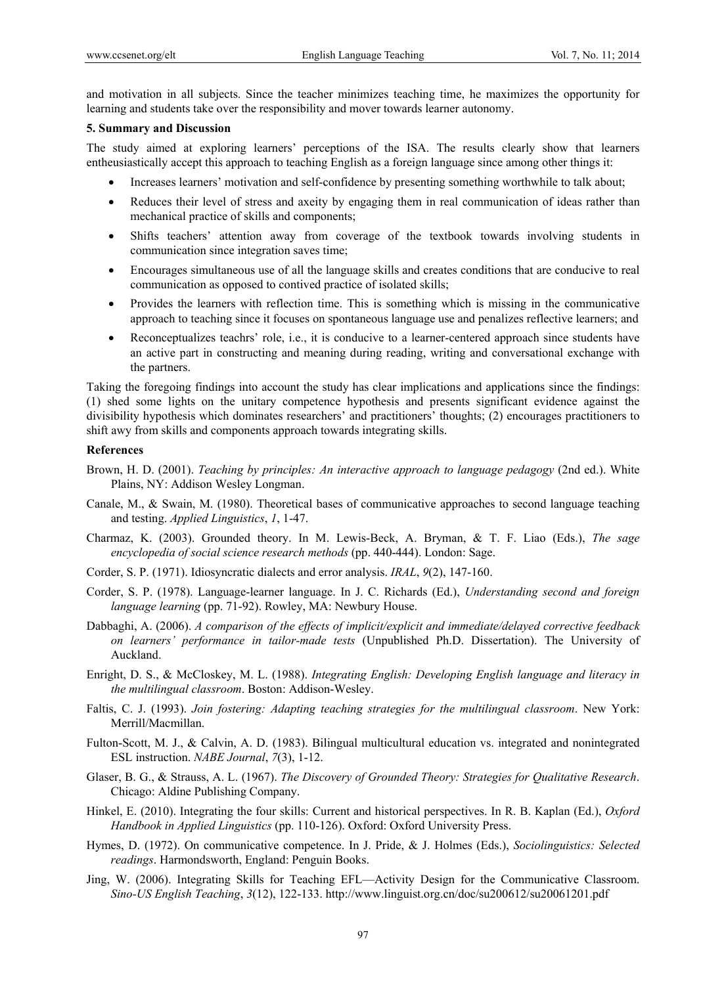and motivation in all subjects. Since the teacher minimizes teaching time, he maximizes the opportunity for learning and students take over the responsibility and mover towards learner autonomy.

# **5. Summary and Discussion**

The study aimed at exploring learners' perceptions of the ISA. The results clearly show that learners entheusiastically accept this approach to teaching English as a foreign language since among other things it:

- Increases learners' motivation and self-confidence by presenting something worthwhile to talk about;
- Reduces their level of stress and axeity by engaging them in real communication of ideas rather than mechanical practice of skills and components;
- Shifts teachers' attention away from coverage of the textbook towards involving students in communication since integration saves time;
- Encourages simultaneous use of all the language skills and creates conditions that are conducive to real communication as opposed to contived practice of isolated skills;
- Provides the learners with reflection time. This is something which is missing in the communicative approach to teaching since it focuses on spontaneous language use and penalizes reflective learners; and
- Reconceptualizes teachrs' role, i.e., it is conducive to a learner-centered approach since students have an active part in constructing and meaning during reading, writing and conversational exchange with the partners.

Taking the foregoing findings into account the study has clear implications and applications since the findings: (1) shed some lights on the unitary competence hypothesis and presents significant evidence against the divisibility hypothesis which dominates researchers' and practitioners' thoughts; (2) encourages practitioners to shift awy from skills and components approach towards integrating skills.

# **References**

- Brown, H. D. (2001). *Teaching by principles: An interactive approach to language pedagogy* (2nd ed.). White Plains, NY: Addison Wesley Longman.
- Canale, M., & Swain, M. (1980). Theoretical bases of communicative approaches to second language teaching and testing. *Applied Linguistics*, *1*, 1-47.
- Charmaz, K. (2003). Grounded theory. In M. Lewis-Beck, A. Bryman, & T. F. Liao (Eds.), *The sage encyclopedia of social science research methods* (pp. 440-444). London: Sage.
- Corder, S. P. (1971). Idiosyncratic dialects and error analysis. *IRAL*, *9*(2), 147-160.
- Corder, S. P. (1978). Language-learner language. In J. C. Richards (Ed.), *Understanding second and foreign language learning* (pp. 71-92). Rowley, MA: Newbury House.
- Dabbaghi, A. (2006). *A comparison of the effects of implicit/explicit and immediate/delayed corrective feedback on learners' performance in tailor-made tests* (Unpublished Ph.D. Dissertation). The University of Auckland.
- Enright, D. S., & McCloskey, M. L. (1988). *Integrating English: Developing English language and literacy in the multilingual classroom*. Boston: Addison-Wesley.
- Faltis, C. J. (1993). *Join fostering: Adapting teaching strategies for the multilingual classroom*. New York: Merrill/Macmillan.
- Fulton-Scott, M. J., & Calvin, A. D. (1983). Bilingual multicultural education vs. integrated and nonintegrated ESL instruction. *NABE Journal*, *7*(3), 1-12.
- Glaser, B. G., & Strauss, A. L. (1967). *The Discovery of Grounded Theory: Strategies for Qualitative Research*. Chicago: Aldine Publishing Company.
- Hinkel, E. (2010). Integrating the four skills: Current and historical perspectives. In R. B. Kaplan (Ed.), *Oxford Handbook in Applied Linguistics* (pp. 110-126). Oxford: Oxford University Press.
- Hymes, D. (1972). On communicative competence. In J. Pride, & J. Holmes (Eds.), *Sociolinguistics: Selected readings*. Harmondsworth, England: Penguin Books.
- Jing, W. (2006). Integrating Skills for Teaching EFL—Activity Design for the Communicative Classroom. *Sino-US English Teaching*, *3*(12), 122-133. http://www.linguist.org.cn/doc/su200612/su20061201.pdf